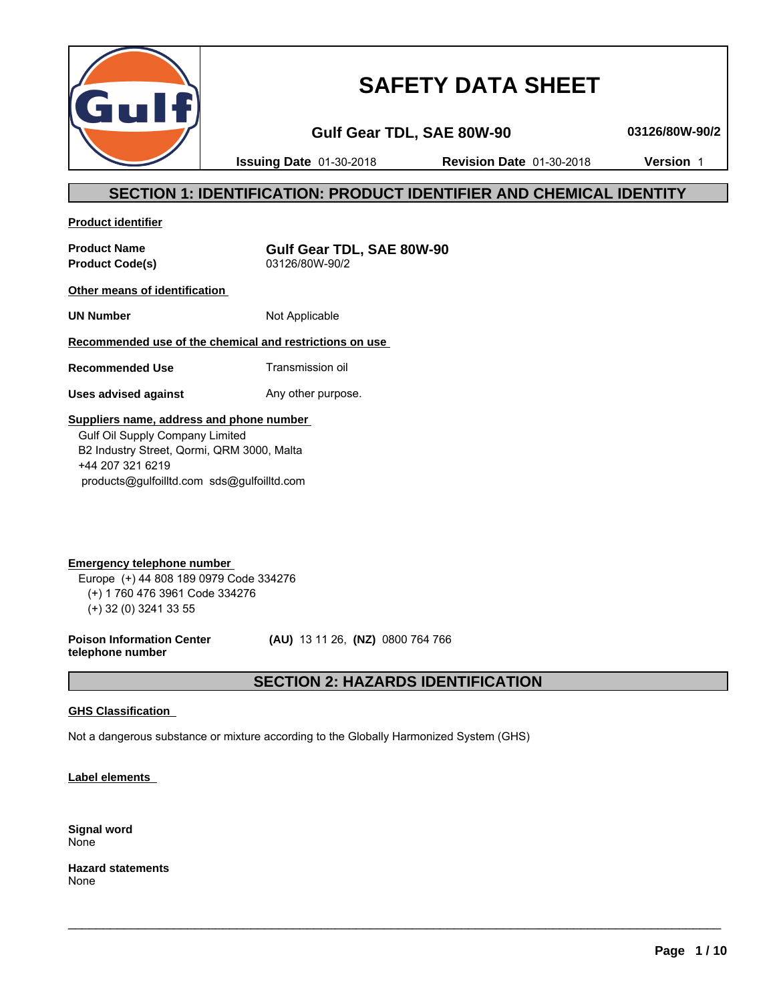

# **SAFETY DATA SHEET**

**Gulf Gear TDL, SAE 80W-90 03126/80W-90/2**

**Issuing Date** 01-30-2018 **Revision Date** 01-30-2018 **Version** 1

# **SECTION 1: IDENTIFICATION: PRODUCT IDENTIFIER AND CHEMICAL IDENTITY**

**Product identifier**

**Product Code(s)** 

**Product Name**<br> **Product Code(s)**<br> **Product Code(s)**<br> **Gulf Gear TDL, SAE 80W-90**<br>  $03126/80W-90/2$ 

**Other means of identification** 

**UN Number** Not Applicable

# **Recommended use of the chemical and restrictions on use**

**Recommended Use** Transmission oil

**Uses advised against** Any other purpose.

# **Suppliers name, address and phone number**

 Gulf Oil Supply Company Limited B2 Industry Street, Qormi, QRM 3000, Malta +44 207 321 6219 products@gulfoilltd.com sds@gulfoilltd.com

**Emergency telephone number**  Europe (+) 44 808 189 0979 Code 334276 (+) 1 760 476 3961 Code 334276 (+) 32 (0) 3241 33 55

**Poison Information Center telephone number**

 **(AU)** 13 11 26, **(NZ)** 0800 764 766

# **SECTION 2: HAZARDS IDENTIFICATION**

 $\_$  ,  $\_$  ,  $\_$  ,  $\_$  ,  $\_$  ,  $\_$  ,  $\_$  ,  $\_$  ,  $\_$  ,  $\_$  ,  $\_$  ,  $\_$  ,  $\_$  ,  $\_$  ,  $\_$  ,  $\_$  ,  $\_$  ,  $\_$  ,  $\_$  ,  $\_$  ,  $\_$  ,  $\_$  ,  $\_$  ,  $\_$  ,  $\_$  ,  $\_$  ,  $\_$  ,  $\_$  ,  $\_$  ,  $\_$  ,  $\_$  ,  $\_$  ,  $\_$  ,  $\_$  ,  $\_$  ,  $\_$  ,  $\_$  ,

# **GHS Classification**

Not a dangerous substance or mixture according to the Globally Harmonized System (GHS)

**Label elements** 

**Signal word** None

**Hazard statements** None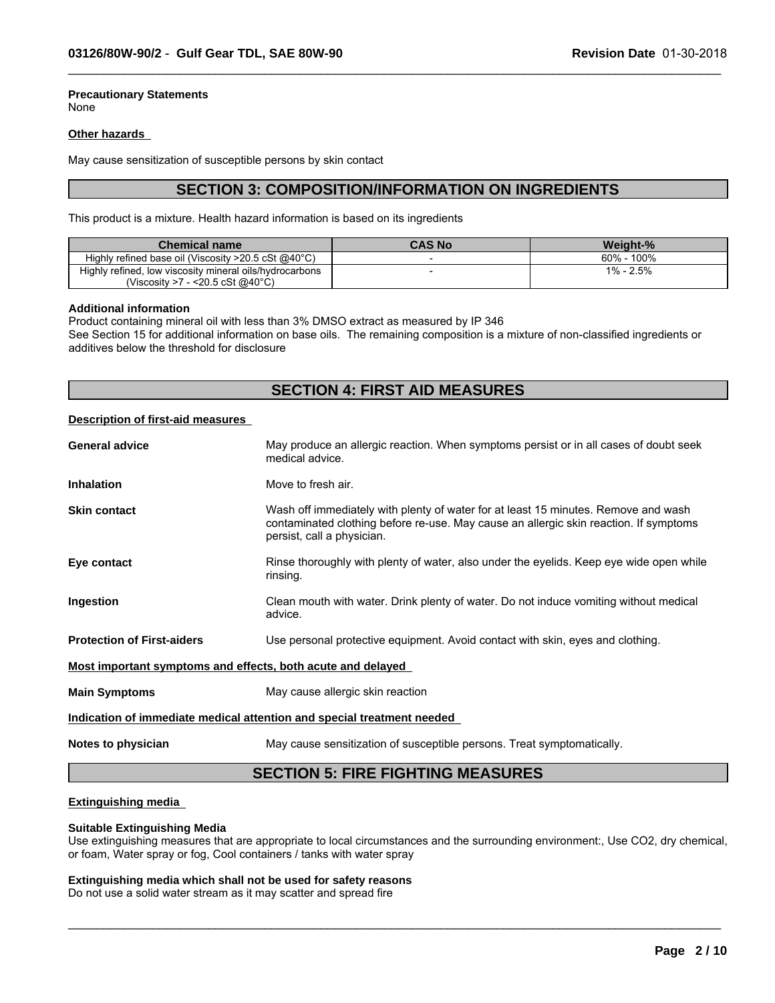# **Precautionary Statements**

None

# **Other hazards**

May cause sensitization of susceptible persons by skin contact

# **SECTION 3: COMPOSITION/INFORMATION ON INGREDIENTS**

 $\_$  ,  $\_$  ,  $\_$  ,  $\_$  ,  $\_$  ,  $\_$  ,  $\_$  ,  $\_$  ,  $\_$  ,  $\_$  ,  $\_$  ,  $\_$  ,  $\_$  ,  $\_$  ,  $\_$  ,  $\_$  ,  $\_$  ,  $\_$  ,  $\_$  ,  $\_$  ,  $\_$  ,  $\_$  ,  $\_$  ,  $\_$  ,  $\_$  ,  $\_$  ,  $\_$  ,  $\_$  ,  $\_$  ,  $\_$  ,  $\_$  ,  $\_$  ,  $\_$  ,  $\_$  ,  $\_$  ,  $\_$  ,  $\_$  ,

This product is a mixture. Health hazard information is based on its ingredients

| <b>Chemical name</b>                                    | <b>CAS No</b> | Weight-%    |
|---------------------------------------------------------|---------------|-------------|
| Highly refined base oil (Viscosity >20.5 cSt @40°C)     |               | 60%<br>100% |
| Highly refined, low viscosity mineral oils/hydrocarbons |               | 1% - 2.5%   |
| $\sim$ <20.5 cSt @40°C)<br>(Viscosity >7                |               |             |

### **Additional information**

Product containing mineral oil with less than 3% DMSO extract as measured by IP 346 See Section 15 for additional information on base oils. The remaining composition is a mixture of non-classified ingredients or additives below the threshold for disclosure

# **SECTION 4: FIRST AID MEASURES**

# **Description of first-aid measures**

| May produce an allergic reaction. When symptoms persist or in all cases of doubt seek<br>medical advice.                                                                                                  |  |
|-----------------------------------------------------------------------------------------------------------------------------------------------------------------------------------------------------------|--|
| Move to fresh air.                                                                                                                                                                                        |  |
| Wash off immediately with plenty of water for at least 15 minutes. Remove and wash<br>contaminated clothing before re-use. May cause an allergic skin reaction. If symptoms<br>persist, call a physician. |  |
| Rinse thoroughly with plenty of water, also under the eyelids. Keep eye wide open while<br>rinsing.                                                                                                       |  |
| Clean mouth with water. Drink plenty of water. Do not induce vomiting without medical<br>advice.                                                                                                          |  |
| Use personal protective equipment. Avoid contact with skin, eyes and clothing.                                                                                                                            |  |
| Most important symptoms and effects, both acute and delayed                                                                                                                                               |  |
| May cause allergic skin reaction                                                                                                                                                                          |  |
| Indication of immediate medical attention and special treatment needed                                                                                                                                    |  |
| May cause sensitization of susceptible persons. Treat symptomatically.                                                                                                                                    |  |
|                                                                                                                                                                                                           |  |

# **SECTION 5: FIRE FIGHTING MEASURES**

# **Extinguishing media**

# **Suitable Extinguishing Media**

Use extinguishing measures that are appropriate to local circumstances and the surrounding environment:, Use CO2, dry chemical, or foam, Water spray or fog, Cool containers / tanks with water spray

 $\_$  ,  $\_$  ,  $\_$  ,  $\_$  ,  $\_$  ,  $\_$  ,  $\_$  ,  $\_$  ,  $\_$  ,  $\_$  ,  $\_$  ,  $\_$  ,  $\_$  ,  $\_$  ,  $\_$  ,  $\_$  ,  $\_$  ,  $\_$  ,  $\_$  ,  $\_$  ,  $\_$  ,  $\_$  ,  $\_$  ,  $\_$  ,  $\_$  ,  $\_$  ,  $\_$  ,  $\_$  ,  $\_$  ,  $\_$  ,  $\_$  ,  $\_$  ,  $\_$  ,  $\_$  ,  $\_$  ,  $\_$  ,  $\_$  ,

# **Extinguishing media which shall not be used for safety reasons**

Do not use a solid water stream as it may scatter and spread fire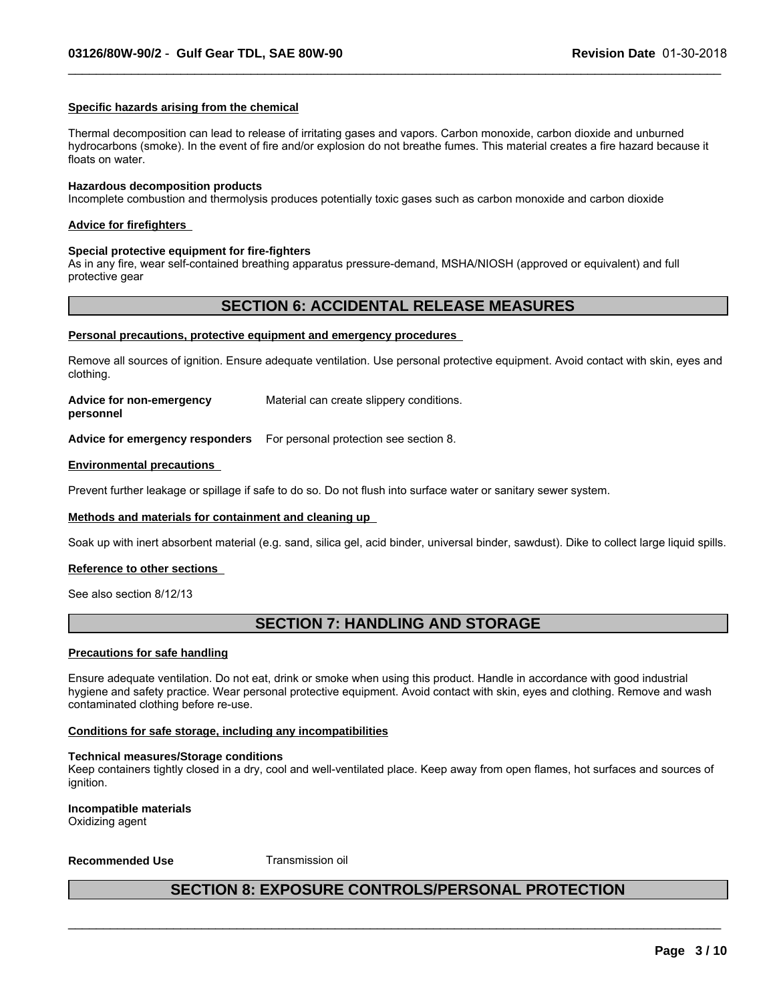# **Specific hazards arising from the chemical**

Thermal decomposition can lead to release of irritating gases and vapors. Carbon monoxide, carbon dioxide and unburned hydrocarbons (smoke). In the event of fire and/or explosion do not breathe fumes. This material creates a fire hazard because it floats on water.

 $\_$  ,  $\_$  ,  $\_$  ,  $\_$  ,  $\_$  ,  $\_$  ,  $\_$  ,  $\_$  ,  $\_$  ,  $\_$  ,  $\_$  ,  $\_$  ,  $\_$  ,  $\_$  ,  $\_$  ,  $\_$  ,  $\_$  ,  $\_$  ,  $\_$  ,  $\_$  ,  $\_$  ,  $\_$  ,  $\_$  ,  $\_$  ,  $\_$  ,  $\_$  ,  $\_$  ,  $\_$  ,  $\_$  ,  $\_$  ,  $\_$  ,  $\_$  ,  $\_$  ,  $\_$  ,  $\_$  ,  $\_$  ,  $\_$  ,

#### **Hazardous decomposition products**

Incomplete combustion and thermolysis produces potentially toxic gases such as carbon monoxide and carbon dioxide

#### **Advice for firefighters**

#### **Special protective equipment for fire-fighters**

As in any fire, wear self-contained breathing apparatus pressure-demand, MSHA/NIOSH (approved or equivalent) and full protective gear

# **SECTION 6: ACCIDENTAL RELEASE MEASURES**

### **Personal precautions, protective equipment and emergency procedures**

Remove all sources of ignition. Ensure adequate ventilation. Use personal protective equipment. Avoid contact with skin, eyes and clothing.

| Advice for non-emergency | Material can create slippery conditions. |
|--------------------------|------------------------------------------|
| personnel                |                                          |

**Advice for emergency responders** For personal protection see section 8.

#### **Environmental precautions**

Prevent further leakage or spillage if safe to do so. Do not flush into surface water or sanitary sewer system.

#### **Methods and materials for containment and cleaning up**

Soak up with inert absorbent material (e.g. sand, silica gel, acid binder, universal binder, sawdust). Dike to collect large liquid spills.

# **Reference to other sections**

See also section 8/12/13

# **SECTION 7: HANDLING AND STORAGE**

### **Precautions for safe handling**

Ensure adequate ventilation. Do not eat, drink or smoke when using this product. Handle in accordance with good industrial hygiene and safety practice. Wear personal protective equipment. Avoid contact with skin, eyes and clothing. Remove and wash contaminated clothing before re-use.

### **Conditions for safe storage, including any incompatibilities**

#### **Technical measures/Storage conditions**

Keep containers tightly closed in a dry, cool and well-ventilated place. Keep away from open flames, hot surfaces and sources of ignition.

**Incompatible materials** Oxidizing agent

**Recommended Use Transmission oil** 

# **SECTION 8: EXPOSURE CONTROLS/PERSONAL PROTECTION**

 $\_$  ,  $\_$  ,  $\_$  ,  $\_$  ,  $\_$  ,  $\_$  ,  $\_$  ,  $\_$  ,  $\_$  ,  $\_$  ,  $\_$  ,  $\_$  ,  $\_$  ,  $\_$  ,  $\_$  ,  $\_$  ,  $\_$  ,  $\_$  ,  $\_$  ,  $\_$  ,  $\_$  ,  $\_$  ,  $\_$  ,  $\_$  ,  $\_$  ,  $\_$  ,  $\_$  ,  $\_$  ,  $\_$  ,  $\_$  ,  $\_$  ,  $\_$  ,  $\_$  ,  $\_$  ,  $\_$  ,  $\_$  ,  $\_$  ,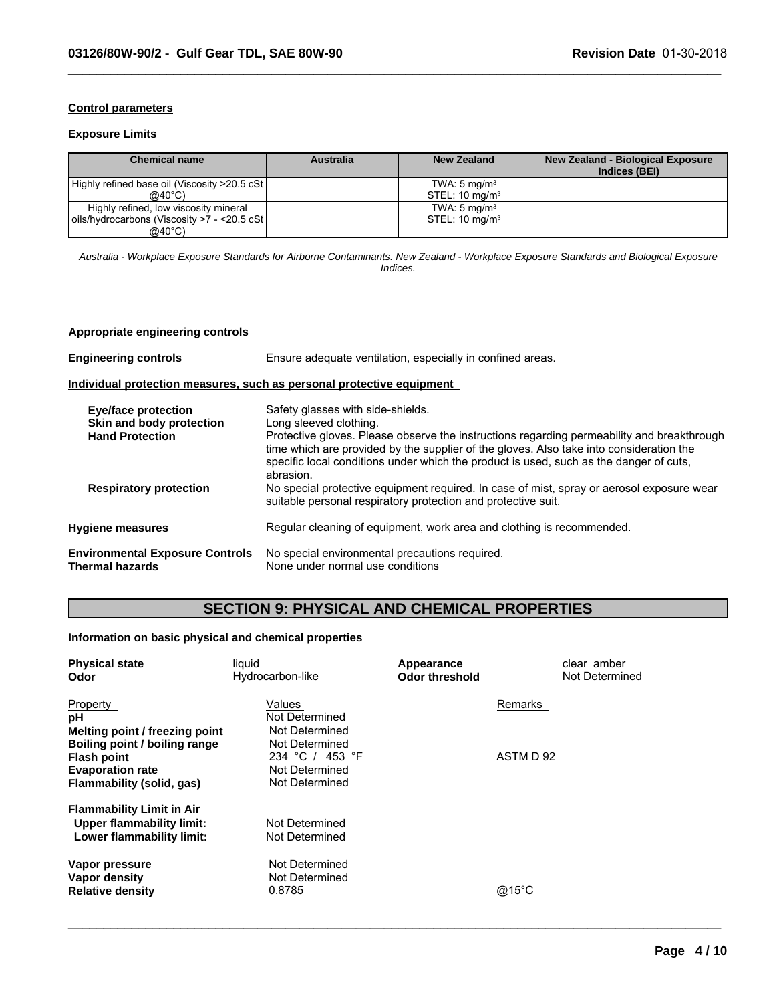# **Control parameters**

# **Exposure Limits**

| <b>Chemical name</b>                                                                            | Australia | New Zealand                                          | <b>New Zealand - Biological Exposure</b><br>Indices (BEI) |
|-------------------------------------------------------------------------------------------------|-----------|------------------------------------------------------|-----------------------------------------------------------|
| Highly refined base oil (Viscosity >20.5 cSt)<br>@40°C)                                         |           | TWA: $5 \text{ mg/m}^3$<br>STEL: $10 \text{ mg/m}^3$ |                                                           |
| Highly refined, low viscosity mineral<br>oils/hydrocarbons (Viscosity >7 - <20.5 cSt)<br>@40°C) |           | TWA: $5 \text{ mg/m}^3$<br>STEL: $10 \text{ mg/m}^3$ |                                                           |

 $\_$  ,  $\_$  ,  $\_$  ,  $\_$  ,  $\_$  ,  $\_$  ,  $\_$  ,  $\_$  ,  $\_$  ,  $\_$  ,  $\_$  ,  $\_$  ,  $\_$  ,  $\_$  ,  $\_$  ,  $\_$  ,  $\_$  ,  $\_$  ,  $\_$  ,  $\_$  ,  $\_$  ,  $\_$  ,  $\_$  ,  $\_$  ,  $\_$  ,  $\_$  ,  $\_$  ,  $\_$  ,  $\_$  ,  $\_$  ,  $\_$  ,  $\_$  ,  $\_$  ,  $\_$  ,  $\_$  ,  $\_$  ,  $\_$  ,

*Australia - Workplace Exposure Standards for Airborne Contaminants. New Zealand - Workplace Exposure Standards and Biological Exposure Indices.*

# **Appropriate engineering controls**

| <b>Engineering controls</b>                                               | Ensure adequate ventilation, especially in confined areas.                                                                                                                                     |  |  |
|---------------------------------------------------------------------------|------------------------------------------------------------------------------------------------------------------------------------------------------------------------------------------------|--|--|
|                                                                           | Individual protection measures, such as personal protective equipment                                                                                                                          |  |  |
| Eye/face protection<br>Skin and body protection<br><b>Hand Protection</b> | Safety glasses with side-shields.<br>Long sleeved clothing.<br>Protective gloves. Please observe the instructions regarding permeability and breakthrough                                      |  |  |
|                                                                           | time which are provided by the supplier of the gloves. Also take into consideration the<br>specific local conditions under which the product is used, such as the danger of cuts,<br>abrasion. |  |  |
| <b>Respiratory protection</b>                                             | No special protective equipment required. In case of mist, spray or aerosol exposure wear<br>suitable personal respiratory protection and protective suit.                                     |  |  |
| <b>Hygiene measures</b>                                                   | Regular cleaning of equipment, work area and clothing is recommended.                                                                                                                          |  |  |
| <b>Environmental Exposure Controls</b><br>Thermal hazards                 | No special environmental precautions required.<br>None under normal use conditions                                                                                                             |  |  |

# **SECTION 9: PHYSICAL AND CHEMICAL PROPERTIES**

 $\_$  ,  $\_$  ,  $\_$  ,  $\_$  ,  $\_$  ,  $\_$  ,  $\_$  ,  $\_$  ,  $\_$  ,  $\_$  ,  $\_$  ,  $\_$  ,  $\_$  ,  $\_$  ,  $\_$  ,  $\_$  ,  $\_$  ,  $\_$  ,  $\_$  ,  $\_$  ,  $\_$  ,  $\_$  ,  $\_$  ,  $\_$  ,  $\_$  ,  $\_$  ,  $\_$  ,  $\_$  ,  $\_$  ,  $\_$  ,  $\_$  ,  $\_$  ,  $\_$  ,  $\_$  ,  $\_$  ,  $\_$  ,  $\_$  ,

### **Information on basic physical and chemical properties**

| <b>Physical state</b><br>Odor                                                                               | liquid<br>Hydrocarbon-like                                            | Appearance<br><b>Odor threshold</b> | clear amber<br>Not Determined |
|-------------------------------------------------------------------------------------------------------------|-----------------------------------------------------------------------|-------------------------------------|-------------------------------|
| Property<br>рH<br>Melting point / freezing point                                                            | Values<br>Not Determined<br>Not Determined                            |                                     | Remarks                       |
| Boiling point / boiling range<br><b>Flash point</b><br><b>Evaporation rate</b><br>Flammability (solid, gas) | Not Determined<br>234 °C / 453 °F<br>Not Determined<br>Not Determined |                                     | ASTM D 92                     |
| <b>Flammability Limit in Air</b><br>Upper flammability limit:<br>Lower flammability limit:                  | Not Determined<br>Not Determined                                      |                                     |                               |
| Vapor pressure<br>Vapor density<br><b>Relative density</b>                                                  | Not Determined<br>Not Determined<br>0.8785                            |                                     | @15°C                         |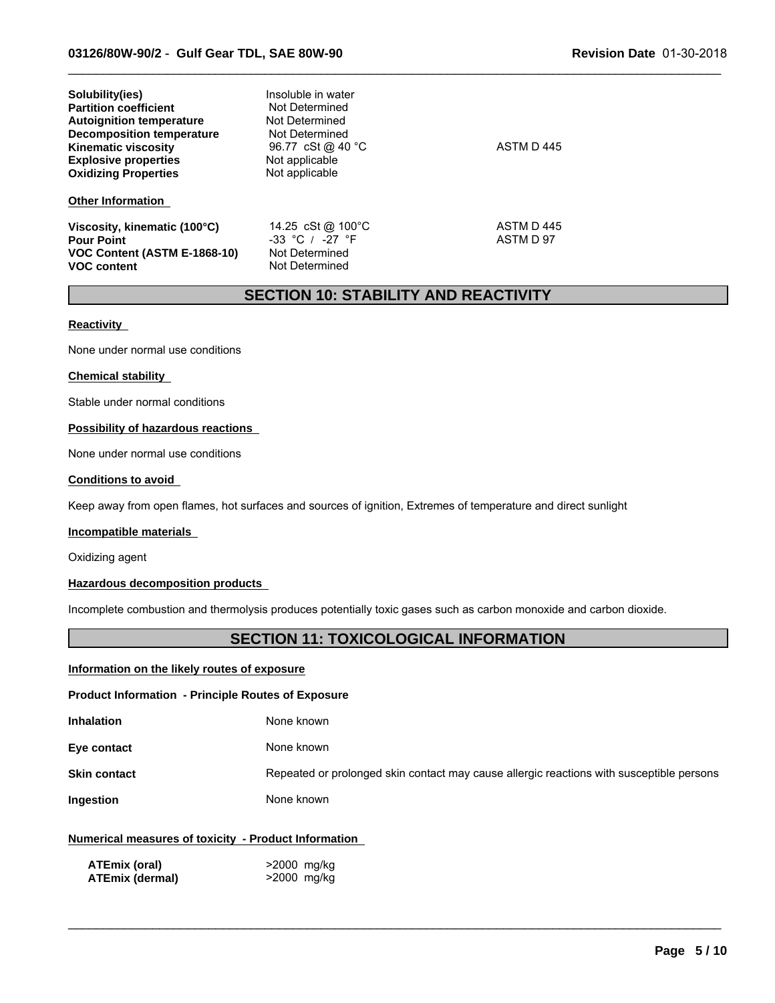| Solubility(ies)<br><b>Partition coefficient</b><br><b>Autoignition temperature</b><br><b>Decomposition temperature</b><br><b>Kinematic viscosity</b><br><b>Explosive properties</b><br><b>Oxidizing Properties</b> | Insoluble in water<br>Not Determined<br>Not Determined<br>Not Determined<br>96.77 cSt @ 40 °C<br>Not applicable<br>Not applicable | ASTM D445              |  |
|--------------------------------------------------------------------------------------------------------------------------------------------------------------------------------------------------------------------|-----------------------------------------------------------------------------------------------------------------------------------|------------------------|--|
| <b>Other Information</b>                                                                                                                                                                                           |                                                                                                                                   |                        |  |
| Viscosity, kinematic (100°C)<br><b>Pour Point</b><br>VOC Content (ASTM E-1868-10)<br><b>VOC content</b>                                                                                                            | 14.25 cSt @ 100°C<br>$-33$ °C / $-27$ °F<br>Not Determined<br>Not Determined                                                      | ASTM D445<br>ASTM D 97 |  |

# **SECTION 10: STABILITY AND REACTIVITY**

 $\_$  ,  $\_$  ,  $\_$  ,  $\_$  ,  $\_$  ,  $\_$  ,  $\_$  ,  $\_$  ,  $\_$  ,  $\_$  ,  $\_$  ,  $\_$  ,  $\_$  ,  $\_$  ,  $\_$  ,  $\_$  ,  $\_$  ,  $\_$  ,  $\_$  ,  $\_$  ,  $\_$  ,  $\_$  ,  $\_$  ,  $\_$  ,  $\_$  ,  $\_$  ,  $\_$  ,  $\_$  ,  $\_$  ,  $\_$  ,  $\_$  ,  $\_$  ,  $\_$  ,  $\_$  ,  $\_$  ,  $\_$  ,  $\_$  ,

### **Reactivity**

None under normal use conditions

#### **Chemical stability**

Stable under normal conditions

#### **Possibility of hazardous reactions**

None under normal use conditions

# **Conditions to avoid**

Keep away from open flames, hot surfaces and sources of ignition, Extremes of temperature and direct sunlight

#### **Incompatible materials**

Oxidizing agent

# **Hazardous decomposition products**

Incomplete combustion and thermolysis produces potentially toxic gases such as carbon monoxide and carbon dioxide.

# **SECTION 11: TOXICOLOGICAL INFORMATION**

# **Information on the likely routes of exposure**

#### **Product Information - Principle Routes of Exposure**

| <b>Inhalation</b> | None known |
|-------------------|------------|
|                   |            |

**Eye contact** None known

**Skin contact** Repeated or prolonged skin contact may cause allergic reactions with susceptible persons

 $\_$  ,  $\_$  ,  $\_$  ,  $\_$  ,  $\_$  ,  $\_$  ,  $\_$  ,  $\_$  ,  $\_$  ,  $\_$  ,  $\_$  ,  $\_$  ,  $\_$  ,  $\_$  ,  $\_$  ,  $\_$  ,  $\_$  ,  $\_$  ,  $\_$  ,  $\_$  ,  $\_$  ,  $\_$  ,  $\_$  ,  $\_$  ,  $\_$  ,  $\_$  ,  $\_$  ,  $\_$  ,  $\_$  ,  $\_$  ,  $\_$  ,  $\_$  ,  $\_$  ,  $\_$  ,  $\_$  ,  $\_$  ,  $\_$  ,

**Ingestion** None known

# **Numerical measures of toxicity - Product Information**

| ATEmix (oral)   | >2000 mg/kg |
|-----------------|-------------|
| ATEmix (dermal) | >2000 mg/kg |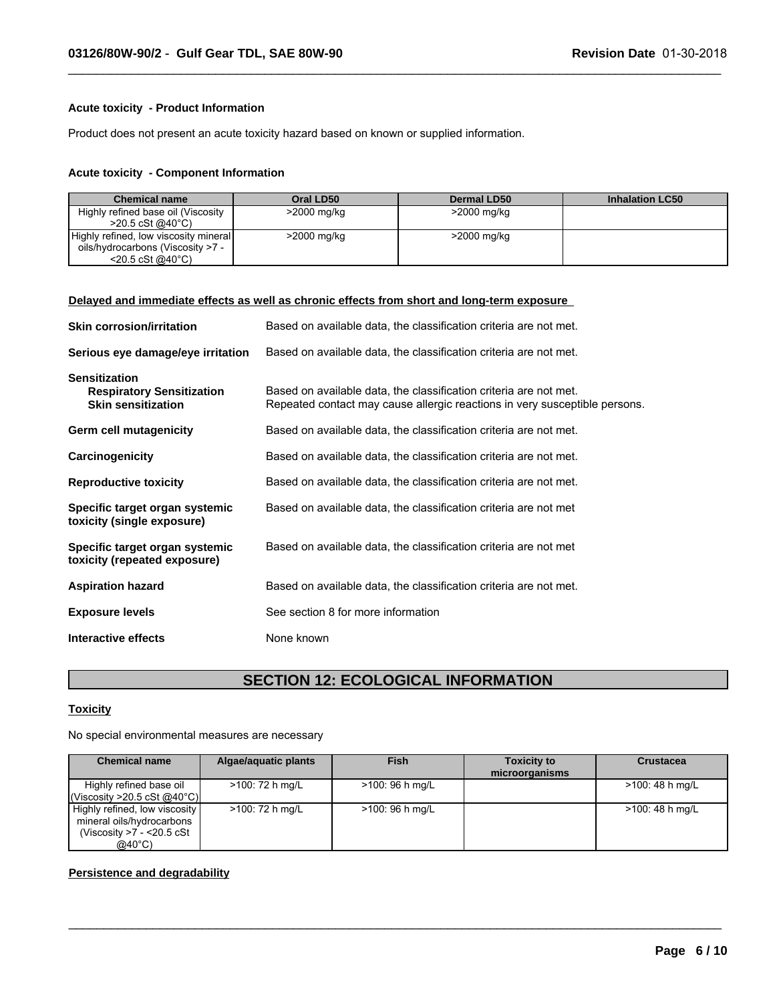# **Acute toxicity - Product Information**

Product does not present an acute toxicity hazard based on known or supplied information.

### **Acute toxicity - Component Information**

| <b>Chemical name</b>                  | Oral LD50   | Dermal LD50 | <b>Inhalation LC50</b> |
|---------------------------------------|-------------|-------------|------------------------|
| Highly refined base oil (Viscosity    | >2000 mg/kg | >2000 mg/kg |                        |
| $>20.5 \text{ cSt}$ @ 40 °C)          |             |             |                        |
| Highly refined, low viscosity mineral | >2000 mg/kg | >2000 mg/kg |                        |
| oils/hydrocarbons (Viscosity >7 -     |             |             |                        |
| $<$ 20.5 cSt @40 $^{\circ}$ C)        |             |             |                        |

 $\_$  ,  $\_$  ,  $\_$  ,  $\_$  ,  $\_$  ,  $\_$  ,  $\_$  ,  $\_$  ,  $\_$  ,  $\_$  ,  $\_$  ,  $\_$  ,  $\_$  ,  $\_$  ,  $\_$  ,  $\_$  ,  $\_$  ,  $\_$  ,  $\_$  ,  $\_$  ,  $\_$  ,  $\_$  ,  $\_$  ,  $\_$  ,  $\_$  ,  $\_$  ,  $\_$  ,  $\_$  ,  $\_$  ,  $\_$  ,  $\_$  ,  $\_$  ,  $\_$  ,  $\_$  ,  $\_$  ,  $\_$  ,  $\_$  ,

### **Delayed and immediate effects as well as chronic effects from short and long-term exposure**

| <b>Skin corrosion/irritation</b>                                                      | Based on available data, the classification criteria are not met.                                                                               |
|---------------------------------------------------------------------------------------|-------------------------------------------------------------------------------------------------------------------------------------------------|
| Serious eye damage/eye irritation                                                     | Based on available data, the classification criteria are not met.                                                                               |
| <b>Sensitization</b><br><b>Respiratory Sensitization</b><br><b>Skin sensitization</b> | Based on available data, the classification criteria are not met.<br>Repeated contact may cause allergic reactions in very susceptible persons. |
| Germ cell mutagenicity                                                                | Based on available data, the classification criteria are not met.                                                                               |
| Carcinogenicity                                                                       | Based on available data, the classification criteria are not met.                                                                               |
| <b>Reproductive toxicity</b>                                                          | Based on available data, the classification criteria are not met.                                                                               |
| Specific target organ systemic<br>toxicity (single exposure)                          | Based on available data, the classification criteria are not met                                                                                |
| Specific target organ systemic<br>toxicity (repeated exposure)                        | Based on available data, the classification criteria are not met                                                                                |
| <b>Aspiration hazard</b>                                                              | Based on available data, the classification criteria are not met.                                                                               |
| <b>Exposure levels</b>                                                                | See section 8 for more information                                                                                                              |
| Interactive effects                                                                   | None known                                                                                                                                      |

# **SECTION 12: ECOLOGICAL INFORMATION**

# **Toxicity**

No special environmental measures are necessary

| <b>Chemical name</b>                                                                     | Algae/aquatic plants | <b>Fish</b>      | <b>Toxicity to</b><br>microorganisms | <b>Crustacea</b> |
|------------------------------------------------------------------------------------------|----------------------|------------------|--------------------------------------|------------------|
| Highly refined base oil<br> Viscosity > 20.5 cSt @40°C                                   | >100: 72 h mg/L      | $>100:96$ h mg/L |                                      | >100: 48 h mg/L  |
| Highly refined, low viscosity<br>mineral oils/hydrocarbons<br>(Viscosity $>7 - 20.5$ cSt | >100: 72 h mg/L      | $>100:96$ h mg/L |                                      | >100: 48 h mg/L  |
| $@40^{\circ}$ C)                                                                         |                      |                  |                                      |                  |

 $\_$  , and the contribution of the contribution of the contribution of the contribution of the contribution of  $\mathcal{L}_\text{max}$ 

### **Persistence and degradability**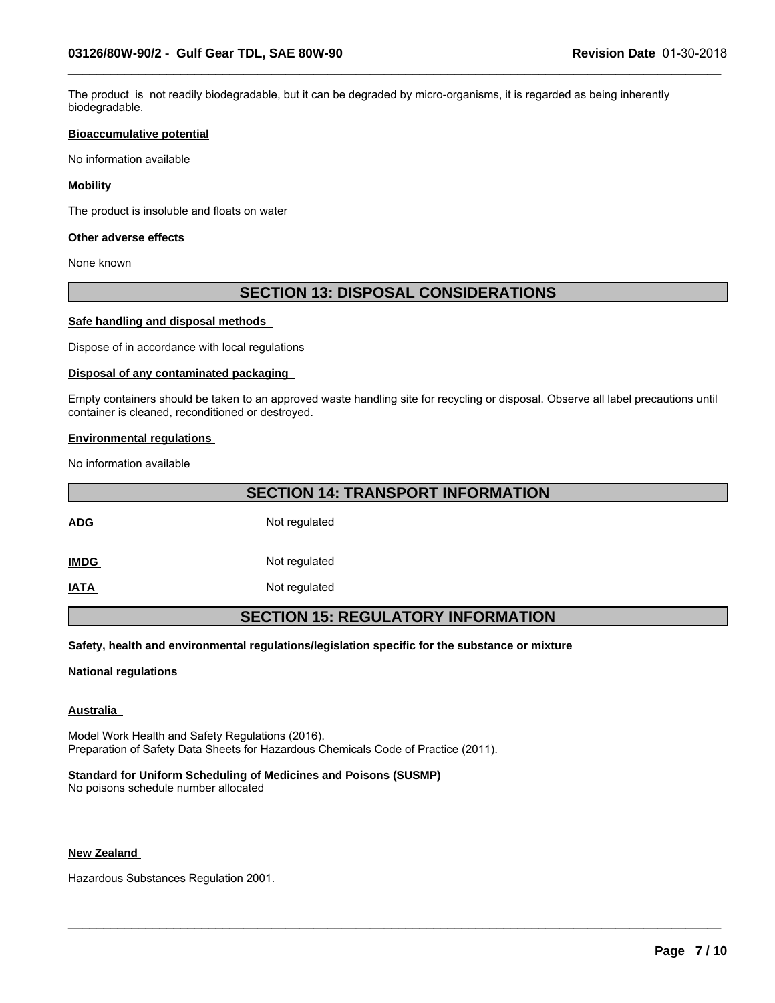The product is not readily biodegradable, but it can be degraded by micro-organisms, it is regarded as being inherently biodegradable.

 $\_$  ,  $\_$  ,  $\_$  ,  $\_$  ,  $\_$  ,  $\_$  ,  $\_$  ,  $\_$  ,  $\_$  ,  $\_$  ,  $\_$  ,  $\_$  ,  $\_$  ,  $\_$  ,  $\_$  ,  $\_$  ,  $\_$  ,  $\_$  ,  $\_$  ,  $\_$  ,  $\_$  ,  $\_$  ,  $\_$  ,  $\_$  ,  $\_$  ,  $\_$  ,  $\_$  ,  $\_$  ,  $\_$  ,  $\_$  ,  $\_$  ,  $\_$  ,  $\_$  ,  $\_$  ,  $\_$  ,  $\_$  ,  $\_$  ,

#### **Bioaccumulative potential**

No information available

# **Mobility**

The product is insoluble and floats on water

### **Other adverse effects**

None known

# **SECTION 13: DISPOSAL CONSIDERATIONS**

# **Safe handling and disposal methods**

Dispose of in accordance with local regulations

### **Disposal of any contaminated packaging**

Empty containers should be taken to an approved waste handling site for recycling or disposal. Observe all label precautions until container is cleaned, reconditioned or destroyed.

# **Environmental regulations**

No information available

**SECTION 14: TRANSPORT INFORMATION**

ADG Not regulated

**IMDG** Not regulated

**IATA** Not regulated

# **SECTION 15: REGULATORY INFORMATION**

 $\_$  ,  $\_$  ,  $\_$  ,  $\_$  ,  $\_$  ,  $\_$  ,  $\_$  ,  $\_$  ,  $\_$  ,  $\_$  ,  $\_$  ,  $\_$  ,  $\_$  ,  $\_$  ,  $\_$  ,  $\_$  ,  $\_$  ,  $\_$  ,  $\_$  ,  $\_$  ,  $\_$  ,  $\_$  ,  $\_$  ,  $\_$  ,  $\_$  ,  $\_$  ,  $\_$  ,  $\_$  ,  $\_$  ,  $\_$  ,  $\_$  ,  $\_$  ,  $\_$  ,  $\_$  ,  $\_$  ,  $\_$  ,  $\_$  ,

**Safety, health and environmental regulations/legislation specific for the substance or mixture**

#### **National regulations**

# **Australia**

Model Work Health and Safety Regulations (2016). Preparation of Safety Data Sheets for Hazardous Chemicals Code of Practice (2011).

# **Standard for Uniform Scheduling of Medicines and Poisons (SUSMP)**

No poisons schedule number allocated

### **New Zealand**

Hazardous Substances Regulation 2001.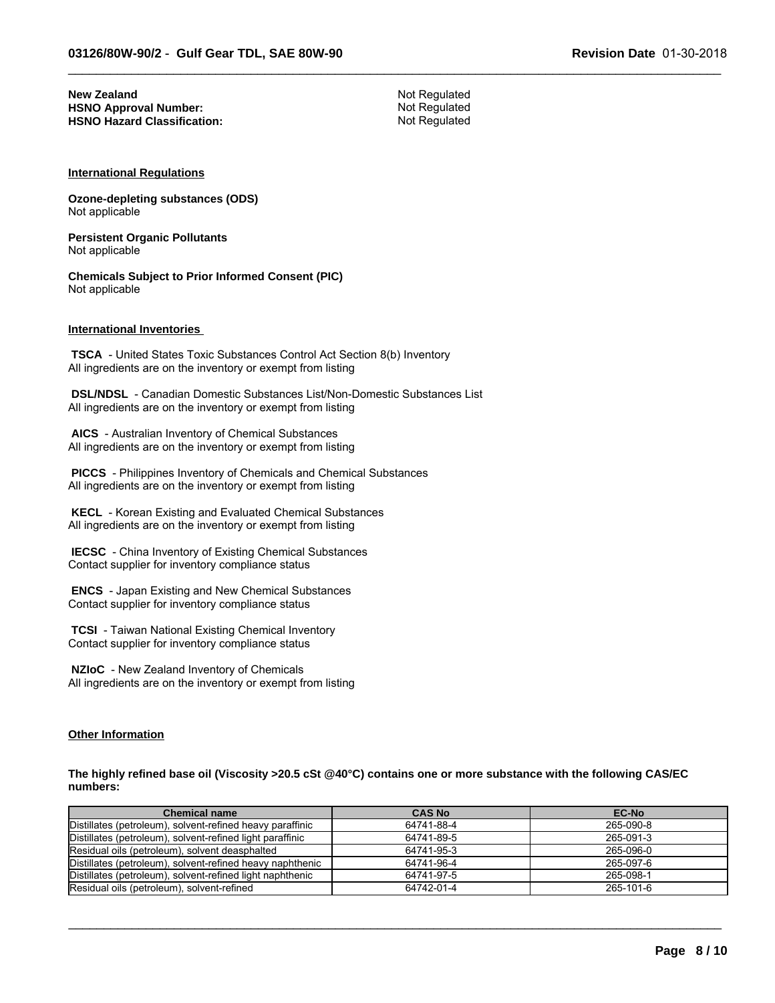**New Zealand** Not Regulated<br> **HSNO Approval Number:** Not Regulated Not Regulated **HSNO Approval Number:** Not Regulated<br> **HSNO Hazard Classification:** Not Regulated **HSNO Hazard Classification:** 

 $\_$  ,  $\_$  ,  $\_$  ,  $\_$  ,  $\_$  ,  $\_$  ,  $\_$  ,  $\_$  ,  $\_$  ,  $\_$  ,  $\_$  ,  $\_$  ,  $\_$  ,  $\_$  ,  $\_$  ,  $\_$  ,  $\_$  ,  $\_$  ,  $\_$  ,  $\_$  ,  $\_$  ,  $\_$  ,  $\_$  ,  $\_$  ,  $\_$  ,  $\_$  ,  $\_$  ,  $\_$  ,  $\_$  ,  $\_$  ,  $\_$  ,  $\_$  ,  $\_$  ,  $\_$  ,  $\_$  ,  $\_$  ,  $\_$  ,

#### **International Regulations**

**Ozone-depleting substances (ODS)** Not applicable

**Persistent Organic Pollutants** Not applicable

**Chemicals Subject to Prior Informed Consent (PIC)** Not applicable

# **International Inventories**

 **TSCA** - United States Toxic Substances Control Act Section 8(b) Inventory All ingredients are on the inventory or exempt from listing

 **DSL/NDSL** - Canadian Domestic Substances List/Non-Domestic Substances List All ingredients are on the inventory or exempt from listing

 **AICS** - Australian Inventory of Chemical Substances All ingredients are on the inventory or exempt from listing

 **PICCS** - Philippines Inventory of Chemicals and Chemical Substances All ingredients are on the inventory or exempt from listing

 **KECL** - Korean Existing and Evaluated Chemical Substances All ingredients are on the inventory or exempt from listing

 **IECSC** - China Inventory of Existing Chemical Substances Contact supplier for inventory compliance status

 **ENCS** - Japan Existing and New Chemical Substances Contact supplier for inventory compliance status

 **TCSI** - Taiwan National Existing Chemical Inventory Contact supplier for inventory compliance status

 **NZIoC** - New Zealand Inventory of Chemicals All ingredients are on the inventory or exempt from listing

# **Other Information**

**The highly refined base oil (Viscosity >20.5 cSt @40°C) contains one or more substance with the following CAS/EC numbers:**

| <b>Chemical name</b>                                      | <b>CAS No</b> | <b>EC-No</b> |
|-----------------------------------------------------------|---------------|--------------|
| Distillates (petroleum), solvent-refined heavy paraffinic | 64741-88-4    | 265-090-8    |
| Distillates (petroleum), solvent-refined light paraffinic | 64741-89-5    | 265-091-3    |
| Residual oils (petroleum), solvent deasphalted            | 64741-95-3    | 265-096-0    |
| Distillates (petroleum), solvent-refined heavy naphthenic | 64741-96-4    | 265-097-6    |
| Distillates (petroleum), solvent-refined light naphthenic | 64741-97-5    | 265-098-1    |
| Residual oils (petroleum), solvent-refined                | 64742-01-4    | 265-101-6    |

 $\_$  ,  $\_$  ,  $\_$  ,  $\_$  ,  $\_$  ,  $\_$  ,  $\_$  ,  $\_$  ,  $\_$  ,  $\_$  ,  $\_$  ,  $\_$  ,  $\_$  ,  $\_$  ,  $\_$  ,  $\_$  ,  $\_$  ,  $\_$  ,  $\_$  ,  $\_$  ,  $\_$  ,  $\_$  ,  $\_$  ,  $\_$  ,  $\_$  ,  $\_$  ,  $\_$  ,  $\_$  ,  $\_$  ,  $\_$  ,  $\_$  ,  $\_$  ,  $\_$  ,  $\_$  ,  $\_$  ,  $\_$  ,  $\_$  ,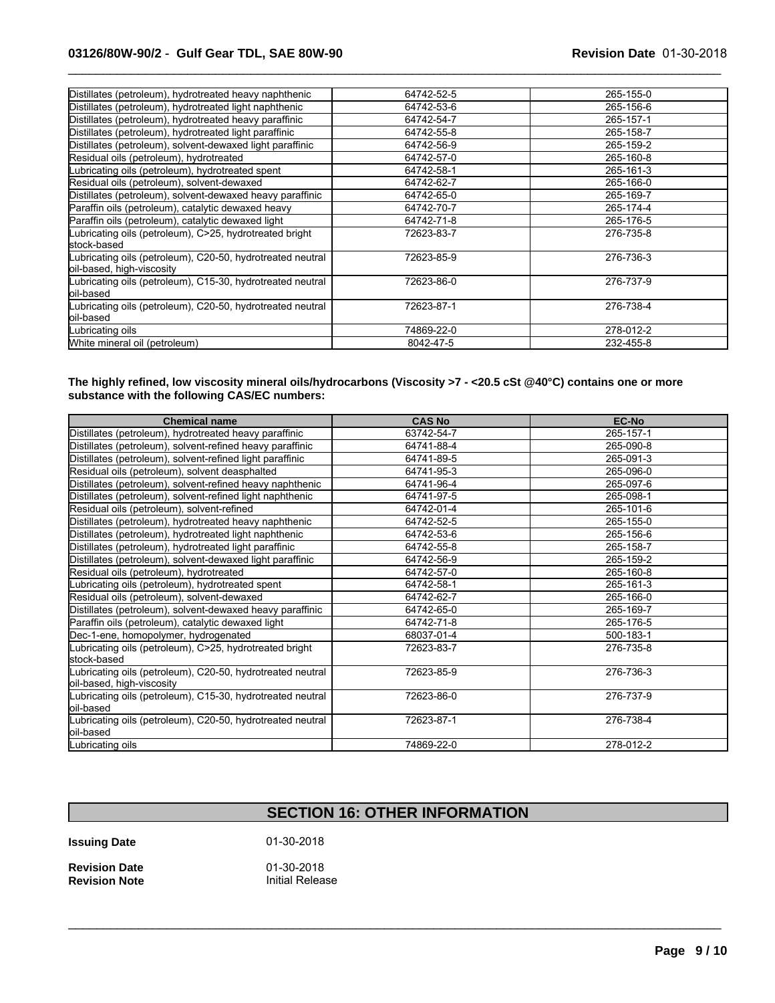# **03126/80W-90/2** - **Gulf Gear TDL, SAE 80W-90 Revision Date** 01-30-2018

| Distillates (petroleum), hydrotreated heavy naphthenic                                  | 64742-52-5 | 265-155-0 |
|-----------------------------------------------------------------------------------------|------------|-----------|
| Distillates (petroleum), hydrotreated light naphthenic                                  | 64742-53-6 | 265-156-6 |
| Distillates (petroleum), hydrotreated heavy paraffinic                                  | 64742-54-7 | 265-157-1 |
| Distillates (petroleum), hydrotreated light paraffinic                                  | 64742-55-8 | 265-158-7 |
| Distillates (petroleum), solvent-dewaxed light paraffinic                               | 64742-56-9 | 265-159-2 |
| Residual oils (petroleum), hydrotreated                                                 | 64742-57-0 | 265-160-8 |
| Lubricating oils (petroleum), hydrotreated spent                                        | 64742-58-1 | 265-161-3 |
| Residual oils (petroleum), solvent-dewaxed                                              | 64742-62-7 | 265-166-0 |
| Distillates (petroleum), solvent-dewaxed heavy paraffinic                               | 64742-65-0 | 265-169-7 |
| Paraffin oils (petroleum), catalytic dewaxed heavy                                      | 64742-70-7 | 265-174-4 |
| Paraffin oils (petroleum), catalytic dewaxed light                                      | 64742-71-8 | 265-176-5 |
| Lubricating oils (petroleum), C>25, hydrotreated bright<br>lstock-based                 | 72623-83-7 | 276-735-8 |
| Lubricating oils (petroleum), C20-50, hydrotreated neutral<br>oil-based, high-viscosity | 72623-85-9 | 276-736-3 |
| Lubricating oils (petroleum), C15-30, hydrotreated neutral<br>loil-based                | 72623-86-0 | 276-737-9 |
| Lubricating oils (petroleum), C20-50, hydrotreated neutral<br>loil-based                | 72623-87-1 | 276-738-4 |
| Lubricating oils                                                                        | 74869-22-0 | 278-012-2 |
| White mineral oil (petroleum)                                                           | 8042-47-5  | 232-455-8 |
|                                                                                         |            |           |

 $\_$  ,  $\_$  ,  $\_$  ,  $\_$  ,  $\_$  ,  $\_$  ,  $\_$  ,  $\_$  ,  $\_$  ,  $\_$  ,  $\_$  ,  $\_$  ,  $\_$  ,  $\_$  ,  $\_$  ,  $\_$  ,  $\_$  ,  $\_$  ,  $\_$  ,  $\_$  ,  $\_$  ,  $\_$  ,  $\_$  ,  $\_$  ,  $\_$  ,  $\_$  ,  $\_$  ,  $\_$  ,  $\_$  ,  $\_$  ,  $\_$  ,  $\_$  ,  $\_$  ,  $\_$  ,  $\_$  ,  $\_$  ,  $\_$  ,

#### **The highly refined, low viscosity mineral oils/hydrocarbons (Viscosity >7 - <20.5 cSt @40°C) contains one or more substance with the following CAS/EC numbers:**

| <b>Chemical name</b>                                                                    | <b>CAS No</b> | <b>EC-No</b> |
|-----------------------------------------------------------------------------------------|---------------|--------------|
| Distillates (petroleum), hydrotreated heavy paraffinic                                  | 63742-54-7    | 265-157-1    |
| Distillates (petroleum), solvent-refined heavy paraffinic                               | 64741-88-4    | 265-090-8    |
| Distillates (petroleum), solvent-refined light paraffinic                               | 64741-89-5    | 265-091-3    |
| Residual oils (petroleum), solvent deasphalted                                          | 64741-95-3    | 265-096-0    |
| Distillates (petroleum), solvent-refined heavy naphthenic                               | 64741-96-4    | 265-097-6    |
| Distillates (petroleum), solvent-refined light naphthenic                               | 64741-97-5    | 265-098-1    |
| Residual oils (petroleum), solvent-refined                                              | 64742-01-4    | 265-101-6    |
| Distillates (petroleum), hydrotreated heavy naphthenic                                  | 64742-52-5    | 265-155-0    |
| Distillates (petroleum), hydrotreated light naphthenic                                  | 64742-53-6    | 265-156-6    |
| Distillates (petroleum), hydrotreated light paraffinic                                  | 64742-55-8    | 265-158-7    |
| Distillates (petroleum), solvent-dewaxed light paraffinic                               | 64742-56-9    | 265-159-2    |
| Residual oils (petroleum), hydrotreated                                                 | 64742-57-0    | 265-160-8    |
| Lubricating oils (petroleum), hydrotreated spent                                        | 64742-58-1    | 265-161-3    |
| Residual oils (petroleum), solvent-dewaxed                                              | 64742-62-7    | 265-166-0    |
| Distillates (petroleum), solvent-dewaxed heavy paraffinic                               | 64742-65-0    | 265-169-7    |
| Paraffin oils (petroleum), catalytic dewaxed light                                      | 64742-71-8    | 265-176-5    |
| Dec-1-ene, homopolymer, hydrogenated                                                    | 68037-01-4    | 500-183-1    |
| ubricating oils (petroleum), C>25, hydrotreated bright<br>lstock-based                  | 72623-83-7    | 276-735-8    |
| Lubricating oils (petroleum), C20-50, hydrotreated neutral<br>oil-based, high-viscosity | 72623-85-9    | 276-736-3    |
| Lubricating oils (petroleum), C15-30, hydrotreated neutral<br>loil-based                | 72623-86-0    | 276-737-9    |
| Lubricating oils (petroleum), C20-50, hydrotreated neutral<br>oil-based                 | 72623-87-1    | 276-738-4    |
| Lubricating oils                                                                        | 74869-22-0    | 278-012-2    |

# **SECTION 16: OTHER INFORMATION**

 $\mathcal{L}_\mathcal{L} = \{ \mathcal{L}_\mathcal{L} = \{ \mathcal{L}_\mathcal{L} = \{ \mathcal{L}_\mathcal{L} = \{ \mathcal{L}_\mathcal{L} = \{ \mathcal{L}_\mathcal{L} = \{ \mathcal{L}_\mathcal{L} = \{ \mathcal{L}_\mathcal{L} = \{ \mathcal{L}_\mathcal{L} = \{ \mathcal{L}_\mathcal{L} = \{ \mathcal{L}_\mathcal{L} = \{ \mathcal{L}_\mathcal{L} = \{ \mathcal{L}_\mathcal{L} = \{ \mathcal{L}_\mathcal{L} = \{ \mathcal{L}_\mathcal{$ 

**Issuing Date** 01-30-2018

**Revision Date 1988** 01-30-2018<br> **Revision Note 1988** Initial Release **Revision Note**